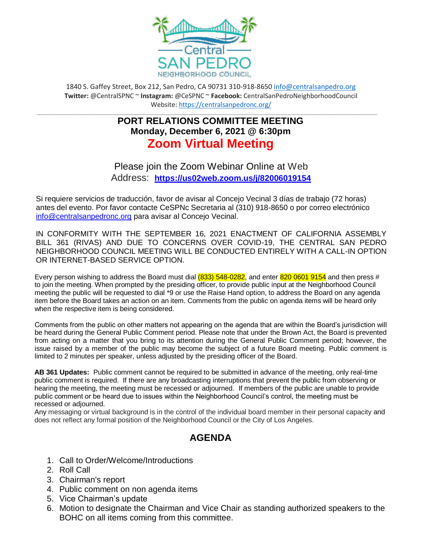

1840 S. Gaffey Street, Box 212, San Pedro, CA 90731 310-918-8650 [info@centralsanpedro.org](mailto:info@centralsanpedro.org) **Twitter:** @CentralSPNC ~ **Instagram:** @CeSPNC ~ **Facebook:** CentralSanPedroNeighborhoodCouncil Website: https://centralsanpedronc.org/

## **\_\_\_\_\_\_\_\_\_\_\_\_\_\_\_\_\_\_\_\_\_\_\_\_\_\_\_\_\_\_\_\_\_\_\_\_\_\_\_\_\_\_\_\_\_\_\_\_\_\_\_\_\_\_\_\_\_\_\_\_\_\_\_\_\_\_\_\_\_\_\_\_\_\_\_\_\_\_\_\_\_\_\_\_\_\_\_\_\_\_\_\_\_\_\_\_\_\_\_\_\_\_\_\_\_\_\_\_\_\_\_ PORT RELATIONS COMMITTEE MEETING Monday, December 6, 2021 @ 6:30pm Zoom Virtual Meeting**

Please join the Zoom Webinar Online at Web Address: **<https://us02web.zoom.us/j/82006019154>**

Si requiere servicios de traducción, favor de avisar al Concejo Vecinal 3 días de trabajo (72 horas) antes del evento. Por favor contacte CeSPNc Secretaria al (310) 918-8650 o por correo electrónico [info@centralsanpedronc.org](mailto:info@centralsanpedronc.org) para avisar al Concejo Vecinal.

IN CONFORMITY WITH THE SEPTEMBER 16, 2021 ENACTMENT OF CALIFORNIA ASSEMBLY BILL 361 (RIVAS) AND DUE TO CONCERNS OVER COVID-19, THE CENTRAL SAN PEDRO NEIGHBORHOOD COUNCIL MEETING WILL BE CONDUCTED ENTIRELY WITH A CALL-IN OPTION OR INTERNET-BASED SERVICE OPTION.

Every person wishing to address the Board must dial  $(833)$  548-0282, and enter 820 0601 9154 and then press # to join the meeting. When prompted by the presiding officer, to provide public input at the Neighborhood Council meeting the public will be requested to dial \*9 or use the Raise Hand option, to address the Board on any agenda item before the Board takes an action on an item. Comments from the public on agenda items will be heard only when the respective item is being considered.

Comments from the public on other matters not appearing on the agenda that are within the Board's jurisdiction will be heard during the General Public Comment period. Please note that under the Brown Act, the Board is prevented from acting on a matter that you bring to its attention during the General Public Comment period; however, the issue raised by a member of the public may become the subject of a future Board meeting. Public comment is limited to 2 minutes per speaker, unless adjusted by the presiding officer of the Board.

**AB 361 Updates:** Public comment cannot be required to be submitted in advance of the meeting, only real-time public comment is required. If there are any broadcasting interruptions that prevent the public from observing or hearing the meeting, the meeting must be recessed or adjourned. If members of the public are unable to provide public comment or be heard due to issues within the Neighborhood Council's control, the meeting must be recessed or adjourned.

Any messaging or virtual background is in the control of the individual board member in their personal capacity and does not reflect any formal position of the Neighborhood Council or the City of Los Angeles.

## **AGENDA**

- 1. Call to Order/Welcome/Introductions
- 2. Roll Call
- 3. Chairman's report
- 4. Public comment on non agenda items
- 5. Vice Chairman's update
- 6. Motion to designate the Chairman and Vice Chair as standing authorized speakers to the BOHC on all items coming from this committee.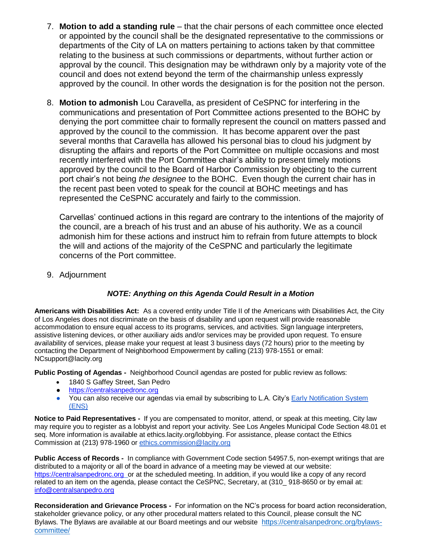- 7. **Motion to add a standing rule** that the chair persons of each committee once elected or appointed by the council shall be the designated representative to the commissions or departments of the City of LA on matters pertaining to actions taken by that committee relating to the business at such commissions or departments, without further action or approval by the council. This designation may be withdrawn only by a majority vote of the council and does not extend beyond the term of the chairmanship unless expressly approved by the council. In other words the designation is for the position not the person.
- 8. **Motion to admonish** Lou Caravella, as president of CeSPNC for interfering in the communications and presentation of Port Committee actions presented to the BOHC by denying the port committee chair to formally represent the council on matters passed and approved by the council to the commission. It has become apparent over the past several months that Caravella has allowed his personal bias to cloud his judgment by disrupting the affairs and reports of the Port Committee on multiple occasions and most recently interfered with the Port Committee chair's ability to present timely motions approved by the council to the Board of Harbor Commission by objecting to the current port chair's not being *the designee* to the BOHC. Even though the current chair has in the recent past been voted to speak for the council at BOHC meetings and has represented the CeSPNC accurately and fairly to the commission.

Carvellas' continued actions in this regard are contrary to the intentions of the majority of the council, are a breach of his trust and an abuse of his authority. We as a council admonish him for these actions and instruct him to refrain from future attempts to block the will and actions of the majority of the CeSPNC and particularly the legitimate concerns of the Port committee.

9. Adjournment

## *NOTE: Anything on this Agenda Could Result in a Motion*

**Americans with Disabilities Act:** As a covered entity under Title II of the Americans with Disabilities Act, the City of Los Angeles does not discriminate on the basis of disability and upon request will provide reasonable accommodation to ensure equal access to its programs, services, and activities. Sign language interpreters, assistive listening devices, or other auxiliary aids and/or services may be provided upon request. To ensure availability of services, please make your request at least 3 business days (72 hours) prior to the meeting by contacting the Department of Neighborhood Empowerment by calling (213) 978-1551 or email: [NCsupport@lacity.org](mailto:NCsupport@lacity.org)

**Public Posting of Agendas -** Neighborhood Council agendas are posted for public review as follows:

- 1840 S Gaffey Street, San Pedro
- [https://centralsanpedronc.org](https://centralsanpedronc.org/)
- You can also receive our agendas via email by subscribing to L.A. City's [Early Notification System](https://www.lacity.org/government/subscribe-agendasnotifications/neighborhood-councils) [\(ENS\)](https://www.lacity.org/government/subscribe-agendasnotifications/neighborhood-councils)

**Notice to Paid Representatives -** If you are compensated to monitor, attend, or speak at this meeting, City law may require you to register as a lobbyist and report your activity. See Los Angeles Municipal Code Section 48.01 et seq. More information is available at ethics.lacity.org/lobbying. For assistance, please contact the Ethics Commission at (213) 978-1960 or [ethics.commission@lacity.org](mailto:ethics.commission@lacity.org)

**Public Access of Records -** In compliance with Government Code section 54957.5, non-exempt writings that are distributed to a majority or all of the board in advance of a meeting may be viewed at our website: [https://centralsanpedronc.org](https://centralsanpedronc.org/) or at the scheduled meeting. In addition, if you would like a copy of any record related to an item on the agenda, please contact the CeSPNC, Secretary, at (310\_ 918-8650 or by email at: [info@centralsanpedro.org](mailto:info@centralsanpedro.org)

**Reconsideration and Grievance Process -** For information on the NC's process for board action reconsideration, stakeholder grievance policy, or any other procedural matters related to this Council, please consult the NC Bylaws. The Bylaws are available at our Board meetings and our website [https://centralsanpedronc.org/bylaws](https://centralsanpedronc.org/bylaws-committee/)[committee/](https://centralsanpedronc.org/bylaws-committee/)